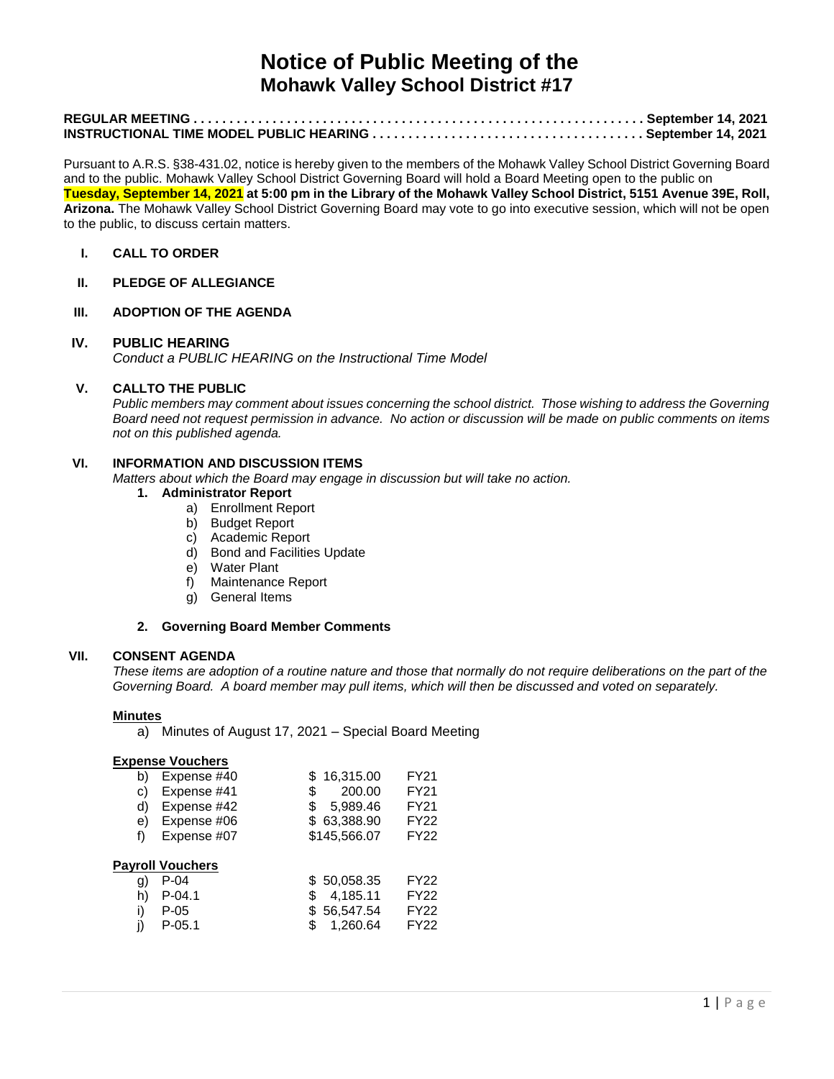# **Notice of Public Meeting of the Mohawk Valley School District #17**

Pursuant to A.R.S. §38-431.02, notice is hereby given to the members of the Mohawk Valley School District Governing Board and to the public. Mohawk Valley School District Governing Board will hold a Board Meeting open to the public on **Tuesday, September 14, 2021 at 5:00 pm in the Library of the Mohawk Valley School District, 5151 Avenue 39E, Roll, Arizona.** The Mohawk Valley School District Governing Board may vote to go into executive session, which will not be open to the public, to discuss certain matters.

### **I. CALL TO ORDER**

#### **II. PLEDGE OF ALLEGIANCE**

#### **III. ADOPTION OF THE AGENDA**

# **IV. PUBLIC HEARING**

*Conduct a PUBLIC HEARING on the Instructional Time Model*

# **V. CALLTO THE PUBLIC**

*Public members may comment about issues concerning the school district. Those wishing to address the Governing Board need not request permission in advance. No action or discussion will be made on public comments on items not on this published agenda.*

#### **VI. INFORMATION AND DISCUSSION ITEMS**

*Matters about which the Board may engage in discussion but will take no action.* 

#### **1. Administrator Report**

- a) Enrollment Report
- b) Budget Report
- c) Academic Report
- d) Bond and Facilities Update
- e) Water Plant
- f) Maintenance Report
- g) General Items

## **2. Governing Board Member Comments**

### **VII. CONSENT AGENDA**

*These items are adoption of a routine nature and those that normally do not require deliberations on the part of the Governing Board. A board member may pull items, which will then be discussed and voted on separately.*

#### **Minutes**

a) Minutes of August 17, 2021 – Special Board Meeting

#### **Expense Vouchers**

| b) | Expense #40             | \$16,315.00    | FY21        |
|----|-------------------------|----------------|-------------|
| C) | Expense #41             | 200.00<br>\$   | FY21        |
| d) | Expense #42             | 5,989.46<br>\$ | FY21        |
| e) | Expense #06             | \$63,388.90    | FY22        |
| f) | Expense #07             | \$145,566.07   | <b>FY22</b> |
|    | <b>Payroll Vouchers</b> |                |             |
| g) | P-04                    | \$50,058.35    | FY22        |
| h) | $P - 04.1$              | 4,185.11<br>\$ | <b>FY22</b> |
| i) | P-05                    | 56,547.54      | FY22        |
|    | $P-05.1$                | 1,260.64<br>\$ | <b>FY22</b> |